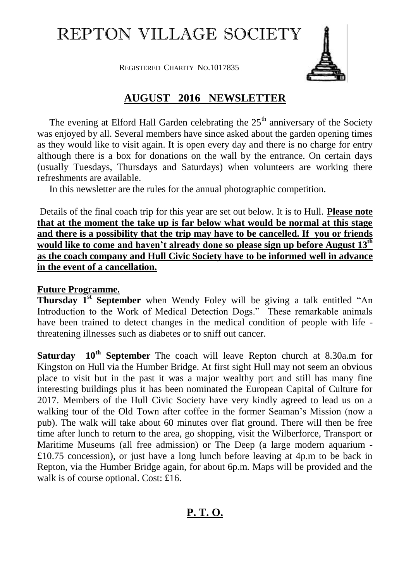# REPTON VILLAGE SOCIETY

REGISTERED CHARITY NO.1017835

## **AUGUST 2016 NEWSLETTER**

The evening at Elford Hall Garden celebrating the  $25<sup>th</sup>$  anniversary of the Society was enjoyed by all. Several members have since asked about the garden opening times as they would like to visit again. It is open every day and there is no charge for entry although there is a box for donations on the wall by the entrance. On certain days (usually Tuesdays, Thursdays and Saturdays) when volunteers are working there refreshments are available.

In this newsletter are the rules for the annual photographic competition.

Details of the final coach trip for this year are set out below. It is to Hull. **Please note that at the moment the take up is far below what would be normal at this stage and there is a possibility that the trip may have to be cancelled. If you or friends would like to come and haven't already done so please sign up before August 13th as the coach company and Hull Civic Society have to be informed well in advance in the event of a cancellation.**

#### **Future Programme.**

**Thursday 1st September** when Wendy Foley will be giving a talk entitled "An Introduction to the Work of Medical Detection Dogs." These remarkable animals have been trained to detect changes in the medical condition of people with life threatening illnesses such as diabetes or to sniff out cancer.

**Saturday 10th September** The coach will leave Repton church at 8.30a.m for Kingston on Hull via the Humber Bridge. At first sight Hull may not seem an obvious place to visit but in the past it was a major wealthy port and still has many fine interesting buildings plus it has been nominated the European Capital of Culture for 2017. Members of the Hull Civic Society have very kindly agreed to lead us on a walking tour of the Old Town after coffee in the former Seaman's Mission (now a pub). The walk will take about 60 minutes over flat ground. There will then be free time after lunch to return to the area, go shopping, visit the Wilberforce, Transport or Maritime Museums (all free admission) or The Deep (a large modern aquarium - £10.75 concession), or just have a long lunch before leaving at 4p.m to be back in Repton, via the Humber Bridge again, for about 6p.m. Maps will be provided and the walk is of course optional. Cost: £16.

## **P. T. O.**